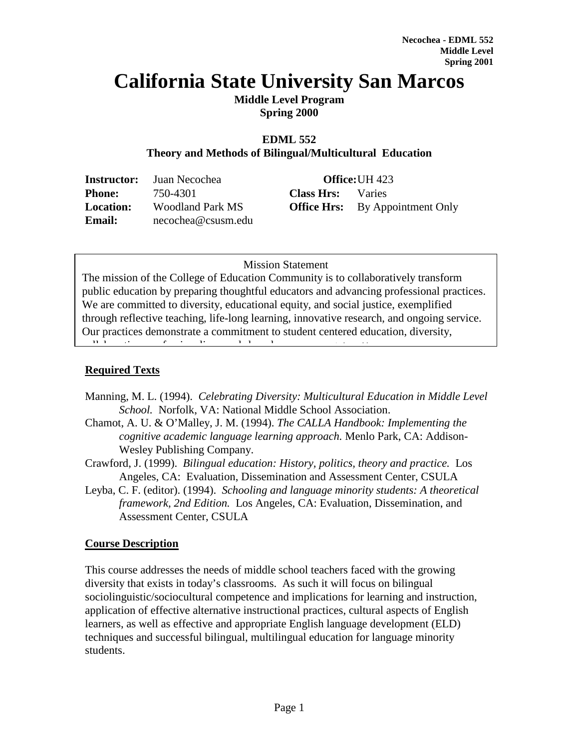# **California State University San Marcos**

**Middle Level Program Spring 2000**

#### **EDML 552 Theory and Methods of Bilingual/Multicultural Education**

|                  | <b>Instructor:</b> Juan Necochea |                          | <b>Office: UH 423</b>                  |
|------------------|----------------------------------|--------------------------|----------------------------------------|
| <b>Phone:</b>    | 750-4301                         | <b>Class Hrs:</b> Varies |                                        |
| <b>Location:</b> | Woodland Park MS                 |                          | <b>Office Hrs:</b> By Appointment Only |
| <b>Email:</b>    | necochea@csusm.edu               |                          |                                        |

### Mission Statement

The mission of the College of Education Community is to collaboratively transform public education by preparing thoughtful educators and advancing professional practices. We are committed to diversity, educational equity, and social justice, exemplified through reflective teaching, life-long learning, innovative research, and ongoing service. Our practices demonstrate a commitment to student centered education, diversity, ll b ti f i li d h d *( d d b* 

## **Required Texts**

- Manning, M. L. (1994). *Celebrating Diversity: Multicultural Education in Middle Level School.* Norfolk, VA: National Middle School Association.
- Chamot, A. U. & O'Malley, J. M. (1994). *The CALLA Handbook: Implementing the cognitive academic language learning approach.* Menlo Park, CA: Addison-Wesley Publishing Company.
- Crawford, J. (1999). *Bilingual education: History, politics, theory and practice.* Los Angeles, CA: Evaluation, Dissemination and Assessment Center, CSULA
- Leyba, C. F. (editor). (1994). *Schooling and language minority students: A theoretical framework, 2nd Edition.* Los Angeles, CA: Evaluation, Dissemination, and Assessment Center, CSULA

## **Course Description**

This course addresses the needs of middle school teachers faced with the growing diversity that exists in today's classrooms. As such it will focus on bilingual sociolinguistic/sociocultural competence and implications for learning and instruction, application of effective alternative instructional practices, cultural aspects of English learners, as well as effective and appropriate English language development (ELD) techniques and successful bilingual, multilingual education for language minority students.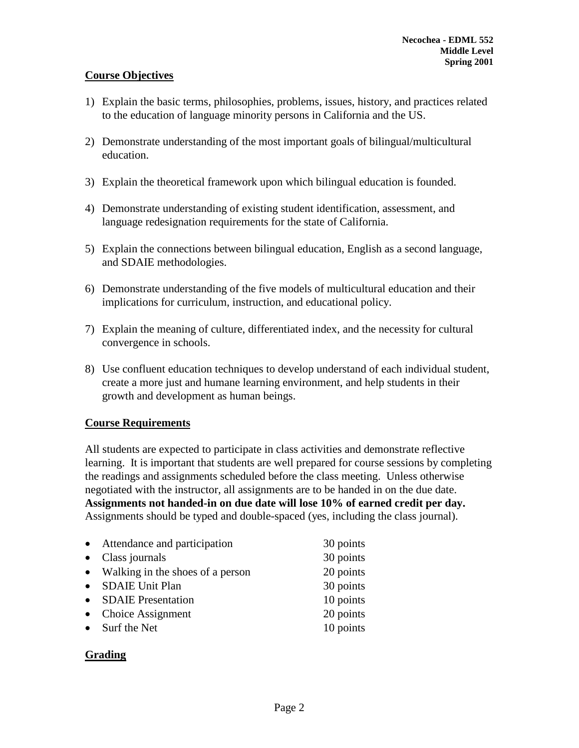#### **Course Objectives**

- 1) Explain the basic terms, philosophies, problems, issues, history, and practices related to the education of language minority persons in California and the US.
- 2) Demonstrate understanding of the most important goals of bilingual/multicultural education.
- 3) Explain the theoretical framework upon which bilingual education is founded.
- 4) Demonstrate understanding of existing student identification, assessment, and language redesignation requirements for the state of California.
- 5) Explain the connections between bilingual education, English as a second language, and SDAIE methodologies.
- 6) Demonstrate understanding of the five models of multicultural education and their implications for curriculum, instruction, and educational policy.
- 7) Explain the meaning of culture, differentiated index, and the necessity for cultural convergence in schools.
- 8) Use confluent education techniques to develop understand of each individual student, create a more just and humane learning environment, and help students in their growth and development as human beings.

#### **Course Requirements**

All students are expected to participate in class activities and demonstrate reflective learning. It is important that students are well prepared for course sessions by completing the readings and assignments scheduled before the class meeting. Unless otherwise negotiated with the instructor, all assignments are to be handed in on the due date. **Assignments not handed-in on due date will lose 10% of earned credit per day.** Assignments should be typed and double-spaced (yes, including the class journal).

| $\bullet$ | Attendance and participation       | 30 points |
|-----------|------------------------------------|-----------|
|           | • Class journals                   | 30 points |
|           | • Walking in the shoes of a person | 20 points |
| $\bullet$ | <b>SDAIE Unit Plan</b>             | 30 points |
| $\bullet$ | <b>SDAIE</b> Presentation          | 10 points |
| $\bullet$ | Choice Assignment                  | 20 points |
|           | $\bullet$ Surf the Net             | 10 points |

#### **Grading**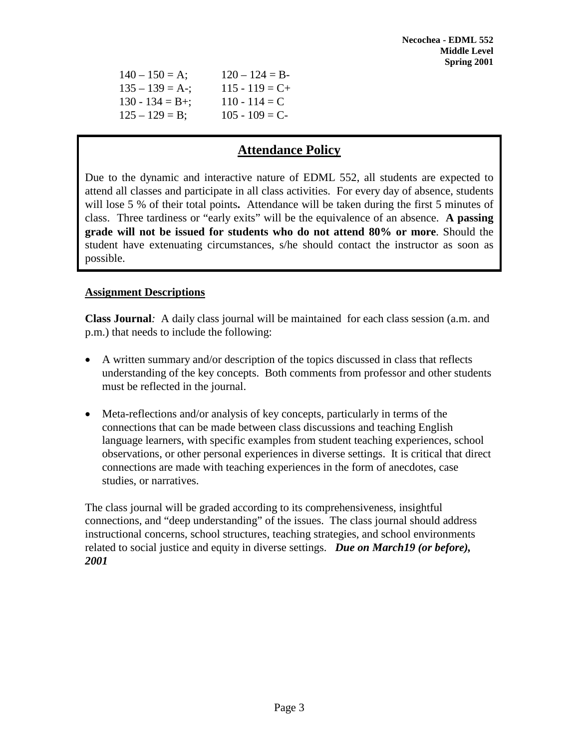| $140 - 150 = A;$    | $120 - 124 = B$   |
|---------------------|-------------------|
| $135 - 139 = A$ -;  | $115 - 119 = C +$ |
| $130 - 134 = B +$ ; | $110 - 114 = C$   |
| $125 - 129 = B$ ;   | $105 - 109 = C$   |

# **Attendance Policy**

Due to the dynamic and interactive nature of EDML 552, all students are expected to attend all classes and participate in all class activities. For every day of absence, students will lose 5 % of their total points**.** Attendance will be taken during the first 5 minutes of class. Three tardiness or "early exits" will be the equivalence of an absence. **A passing grade will not be issued for students who do not attend 80% or more**. Should the student have extenuating circumstances, s/he should contact the instructor as soon as possible.

#### **Assignment Descriptions**

**Class Journal***:* A daily class journal will be maintained for each class session (a.m. and p.m.) that needs to include the following:

- A written summary and/or description of the topics discussed in class that reflects understanding of the key concepts. Both comments from professor and other students must be reflected in the journal.
- Meta-reflections and/or analysis of key concepts, particularly in terms of the connections that can be made between class discussions and teaching English language learners, with specific examples from student teaching experiences, school observations, or other personal experiences in diverse settings. It is critical that direct connections are made with teaching experiences in the form of anecdotes, case studies, or narratives.

The class journal will be graded according to its comprehensiveness, insightful connections, and "deep understanding" of the issues. The class journal should address instructional concerns, school structures, teaching strategies, and school environments related to social justice and equity in diverse settings. *Due on March19 (or before), 2001*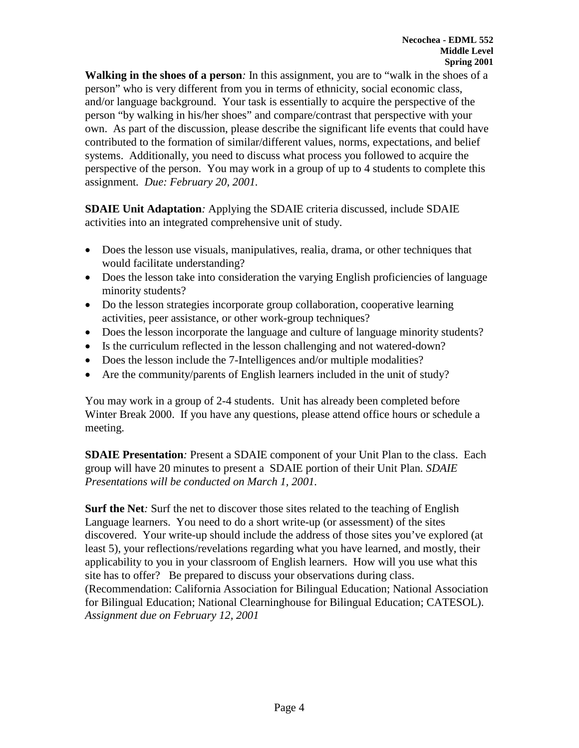**Walking in the shoes of a person***:* In this assignment, you are to "walk in the shoes of a person" who is very different from you in terms of ethnicity, social economic class, and/or language background. Your task is essentially to acquire the perspective of the person "by walking in his/her shoes" and compare/contrast that perspective with your own. As part of the discussion, please describe the significant life events that could have contributed to the formation of similar/different values, norms, expectations, and belief systems. Additionally, you need to discuss what process you followed to acquire the perspective of the person. You may work in a group of up to 4 students to complete this assignment*. Due: February 20, 2001.*

**SDAIE Unit Adaptation***:* Applying the SDAIE criteria discussed, include SDAIE activities into an integrated comprehensive unit of study.

- Does the lesson use visuals, manipulatives, realia, drama, or other techniques that would facilitate understanding?
- Does the lesson take into consideration the varying English proficiencies of language minority students?
- Do the lesson strategies incorporate group collaboration, cooperative learning activities, peer assistance, or other work-group techniques?
- Does the lesson incorporate the language and culture of language minority students?
- Is the curriculum reflected in the lesson challenging and not watered-down?
- Does the lesson include the 7-Intelligences and/or multiple modalities?
- Are the community/parents of English learners included in the unit of study?

You may work in a group of 2-4 students. Unit has already been completed before Winter Break 2000. If you have any questions, please attend office hours or schedule a meeting.

**SDAIE Presentation***:* Present a SDAIE component of your Unit Plan to the class. Each group will have 20 minutes to present a SDAIE portion of their Unit Plan*. SDAIE Presentations will be conducted on March 1, 2001.*

**Surf the Net***:* Surf the net to discover those sites related to the teaching of English Language learners. You need to do a short write-up (or assessment) of the sites discovered. Your write-up should include the address of those sites you've explored (at least 5), your reflections/revelations regarding what you have learned, and mostly, their applicability to you in your classroom of English learners. How will you use what this site has to offer? Be prepared to discuss your observations during class. (Recommendation: California Association for Bilingual Education; National Association for Bilingual Education; National Clearninghouse for Bilingual Education; CATESOL). *Assignment due on February 12, 2001*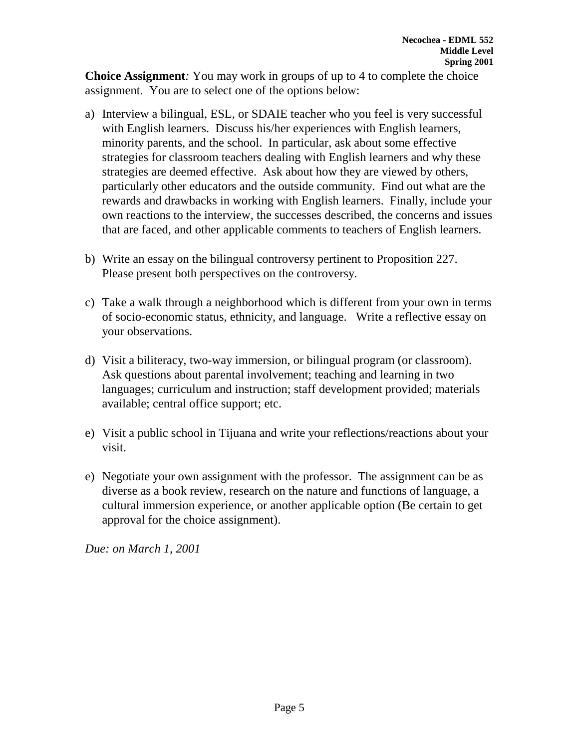**Choice Assignment***:* You may work in groups of up to 4 to complete the choice assignment. You are to select one of the options below:

- a) Interview a bilingual, ESL, or SDAIE teacher who you feel is very successful with English learners. Discuss his/her experiences with English learners, minority parents, and the school. In particular, ask about some effective strategies for classroom teachers dealing with English learners and why these strategies are deemed effective. Ask about how they are viewed by others, particularly other educators and the outside community. Find out what are the rewards and drawbacks in working with English learners. Finally, include your own reactions to the interview, the successes described, the concerns and issues that are faced, and other applicable comments to teachers of English learners.
- b) Write an essay on the bilingual controversy pertinent to Proposition 227. Please present both perspectives on the controversy.
- c) Take a walk through a neighborhood which is different from your own in terms of socio-economic status, ethnicity, and language. Write a reflective essay on your observations.
- d) Visit a biliteracy, two-way immersion, or bilingual program (or classroom). Ask questions about parental involvement; teaching and learning in two languages; curriculum and instruction; staff development provided; materials available; central office support; etc.
- e) Visit a public school in Tijuana and write your reflections/reactions about your visit.
- e) Negotiate your own assignment with the professor. The assignment can be as diverse as a book review, research on the nature and functions of language, a cultural immersion experience, or another applicable option (Be certain to get approval for the choice assignment).

*Due: on March 1, 2001*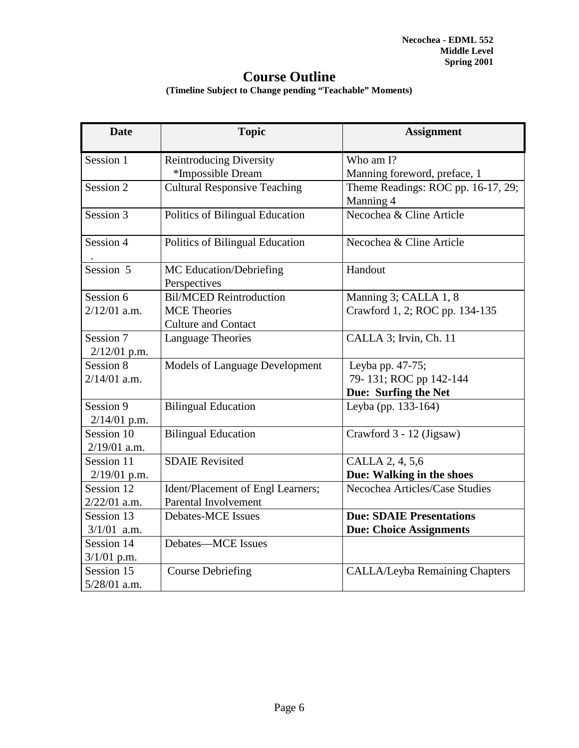# **Course Outline**

# **(Timeline Subject to Change pending "Teachable" Moments)**

| <b>Date</b>                 | <b>Topic</b>                            | <b>Assignment</b>                               |
|-----------------------------|-----------------------------------------|-------------------------------------------------|
| Session 1                   | <b>Reintroducing Diversity</b>          | Who am I?                                       |
|                             | *Impossible Dream                       | Manning foreword, preface, 1                    |
| Session 2                   | <b>Cultural Responsive Teaching</b>     | Theme Readings: ROC pp. 16-17, 29;<br>Manning 4 |
| Session 3                   | Politics of Bilingual Education         | Necochea & Cline Article                        |
| Session 4                   | Politics of Bilingual Education         | Necochea & Cline Article                        |
| Session 5                   | MC Education/Debriefing<br>Perspectives | Handout                                         |
| Session 6                   | <b>Bil/MCED Reintroduction</b>          | Manning 3; CALLA 1, 8                           |
| $2/12/01$ a.m.              | <b>MCE</b> Theories                     | Crawford 1, 2; ROC pp. 134-135                  |
|                             | <b>Culture and Contact</b>              |                                                 |
| Session 7                   | <b>Language Theories</b>                | CALLA 3; Irvin, Ch. 11                          |
| $2/12/01$ p.m.              |                                         |                                                 |
| Session 8                   | <b>Models of Language Development</b>   | Leyba pp. 47-75;                                |
| $2/14/01$ a.m.              |                                         | 79-131; ROC pp 142-144                          |
|                             |                                         | Due: Surfing the Net                            |
| Session 9<br>$2/14/01$ p.m. | <b>Bilingual Education</b>              | Leyba (pp. 133-164)                             |
| Session 10                  | <b>Bilingual Education</b>              | Crawford 3 - 12 (Jigsaw)                        |
| $2/19/01$ a.m.              |                                         |                                                 |
| Session 11                  | <b>SDAIE Revisited</b>                  | CALLA 2, 4, 5,6                                 |
| $2/19/01$ p.m.              |                                         | Due: Walking in the shoes                       |
| Session 12                  | Ident/Placement of Engl Learners;       | Necochea Articles/Case Studies                  |
| $2/22/01$ a.m.              | Parental Involvement                    |                                                 |
| Session 13                  | <b>Debates-MCE</b> Issues               | <b>Due: SDAIE Presentations</b>                 |
| $3/1/01$ a.m.               |                                         | <b>Due: Choice Assignments</b>                  |
| Session 14                  | <b>Debates-MCE</b> Issues               |                                                 |
| $3/1/01$ p.m.               |                                         |                                                 |
| Session 15                  | <b>Course Debriefing</b>                | <b>CALLA/Leyba Remaining Chapters</b>           |
| $5/28/01$ a.m.              |                                         |                                                 |